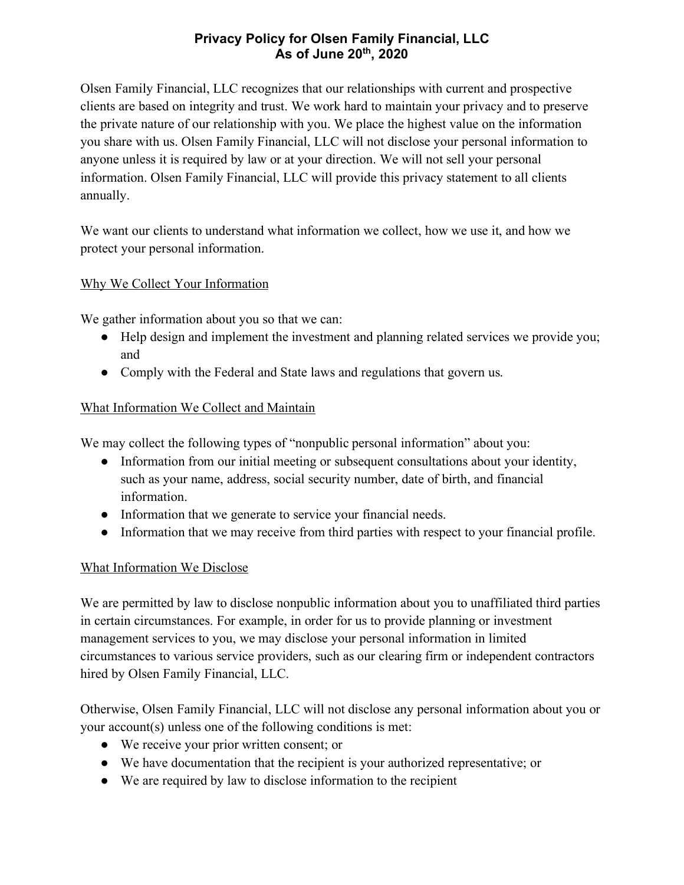## **Privacy Policy for Olsen Family Financial, LLC As of June 20th, 2020**

Olsen Family Financial, LLC recognizes that our relationships with current and prospective clients are based on integrity and trust. We work hard to maintain your privacy and to preserve the private nature of our relationship with you. We place the highest value on the information you share with us. Olsen Family Financial, LLC will not disclose your personal information to anyone unless it is required by law or at your direction. We will not sell your personal information. Olsen Family Financial, LLC will provide this privacy statement to all clients annually.

We want our clients to understand what information we collect, how we use it, and how we protect your personal information.

## Why We Collect Your Information

We gather information about you so that we can:

- Help design and implement the investment and planning related services we provide you; and
- Comply with the Federal and State laws and regulations that govern us.

# What Information We Collect and Maintain

We may collect the following types of "nonpublic personal information" about you:

- Information from our initial meeting or subsequent consultations about your identity, such as your name, address, social security number, date of birth, and financial information.
- Information that we generate to service your financial needs.
- Information that we may receive from third parties with respect to your financial profile.

## What Information We Disclose

We are permitted by law to disclose nonpublic information about you to unaffiliated third parties in certain circumstances. For example, in order for us to provide planning or investment management services to you, we may disclose your personal information in limited circumstances to various service providers, such as our clearing firm or independent contractors hired by Olsen Family Financial, LLC.

Otherwise, Olsen Family Financial, LLC will not disclose any personal information about you or your account(s) unless one of the following conditions is met:

- We receive your prior written consent; or
- We have documentation that the recipient is your authorized representative; or
- We are required by law to disclose information to the recipient